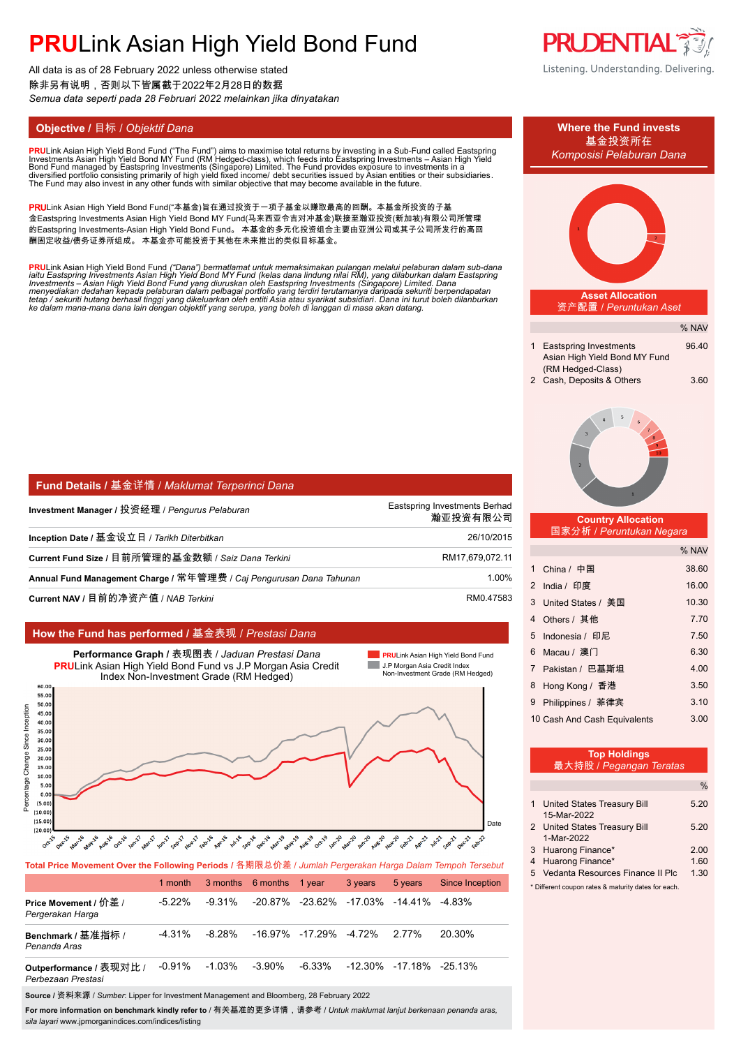All data is as of 28 February 2022 unless otherwise stated 除非另有说明,否则以下皆属截于2022年2月28日的数据 *Semua data seperti pada 28 Februari 2022 melainkan jika dinyatakan*

**PRU**Link Asian High Yield Bond Fund ("The Fund") aims to maximise total returns by investing in a Sub-Fund called Eastspring<br>Investments Asian High Yield Bond MY Fund (RM Hedged-class), which feeds into Eastspring Investm

PRULink Asian High Yield Bond Fund("本基金)旨在通过投资于一项子基金以赚取最高的回酬。本基金所投资的子基 金Eastspring Investments Asian High Yield Bond MY Fund(马来西亚令吉对冲基金)联接至瀚亚投资(新加坡)有限公司所管理 的Eastspring Investments-Asian High Yield Bond Fund。 本基金的多元化投资组合主要由亚洲公司或其子公司所发行的高回 酬固定收益/债务证券所组成。 本基金亦可能投资于其他在未来推出的类似目标基金。

**PRU**Link Asian High Yield Bond Fund ("Dana") bermatlamat untuk memaksimakan pulangan melalui pelaburan dalam sub-dana<br>iaitu Eastspring Investments Asian High Yield Bond MY Fund (kelas dana lindung nilai RM), yang dilaburk

| <b>  Fund Details / 基金详情 / Maklumat Terperinci Dana</b>             |                                           |
|---------------------------------------------------------------------|-------------------------------------------|
| Investment Manager / 投资经理 / Pengurus Pelaburan                      | Eastspring Investments Berhad<br>瀚亚投资有限公司 |
| Inception Date / 基金设立日 / Tarikh Diterbitkan                         | 26/10/2015                                |
| Current Fund Size / 目前所管理的基金数额 / Saiz Dana Terkini                  | RM17,679,072.11                           |
| Annual Fund Management Charge / 常年管理费 / Caj Pengurusan Dana Tahunan | 1.00%                                     |
| Current NAV / 目前的净资产值 / NAB Terkini                                 | RM0.47583                                 |

### **How the Fund has performed /** 基金表现 / *Prestasi Dana*



**Total Price Movement Over the Following Periods /** 各期限总价差 / *Jumlah Pergerakan Harga Dalam Tempoh Tersebut*

|                                               | 1 month   |        | 3 months 6 months 1 year |                                 | 3 years                                | 5 years | <b>Since Inception</b> |
|-----------------------------------------------|-----------|--------|--------------------------|---------------------------------|----------------------------------------|---------|------------------------|
| Price Movement / 价差 /<br>Pergerakan Harga     | $-5.22\%$ | -9.31% |                          |                                 | -20.87% -23.62% -17.03% -14.41% -4.83% |         |                        |
| Benchmark / 基准指标 /<br>Penanda Aras            | -4.31%    | -8.28% |                          | $-16.97\%$ $-17.29\%$ $-4.72\%$ |                                        | 2.77%   | 20.30%                 |
| Outperformance / 表现对比 /<br>Perbezaan Prestasi | -0.91%    | -1.03% | -3.90%                   | -6.33%                          | -12.30% -17.18% -25.13%                |         |                        |
|                                               |           |        |                          |                                 |                                        |         |                        |

**Source /** 资料来源 / *Sumber*: Lipper for Investment Management and Bloomberg, 28 February 2022

**For more information on benchmark kindly refer to** / 有关基准的更多详情,请参考 / *Untuk maklumat lanjut berkenaan penanda aras, sila layari* www.jpmorganindices.com/indices/listing





#### **Top Holdings** 最大持股 / *Pegangan Teratas*

|   | 1 United States Treasury Bill                       | 5.20 |  |  |  |
|---|-----------------------------------------------------|------|--|--|--|
|   | 15-Mar-2022                                         |      |  |  |  |
|   | 2 United States Treasury Bill                       | 5 20 |  |  |  |
|   | 1-Mar-2022                                          |      |  |  |  |
|   | 3 Huarong Finance*                                  | 2.00 |  |  |  |
| 4 | <b>Huarong Finance*</b>                             | 1.60 |  |  |  |
|   | 5 Vedanta Resources Finance II Plc                  | 1.30 |  |  |  |
|   | * Different coupon rates & maturity dates for each. |      |  |  |  |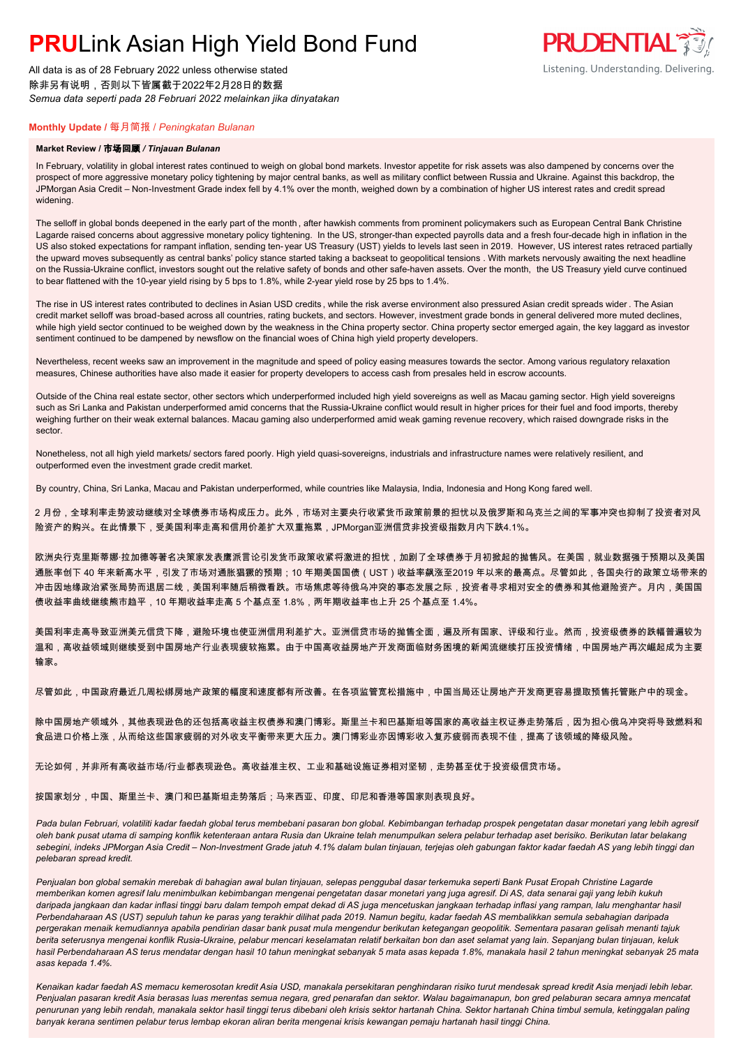All data is as of 28 February 2022 unless otherwise stated 除非另有说明,否则以下皆属截于2022年2月28日的数据 *Semua data seperti pada 28 Februari 2022 melainkan jika dinyatakan*

### **PRUDENTIAL** Listening. Understanding. Delivering.

### **Monthly Update /** 每月简报 / *Peningkatan Bulanan*

#### **Market Review /** 市场回顾 */ Tinjauan Bulanan*

In February, volatility in global interest rates continued to weigh on global bond markets. Investor appetite for risk assets was also dampened by concerns over the prospect of more aggressive monetary policy tightening by major central banks, as well as military conflict between Russia and Ukraine. Against this backdrop, the JPMorgan Asia Credit – Non-Investment Grade index fell by 4.1% over the month, weighed down by a combination of higher US interest rates and credit spread widening.

The selloff in global bonds deepened in the early part of the month , after hawkish comments from prominent policymakers such as European Central Bank Christine Lagarde raised concerns about aggressive monetary policy tightening. In the US, stronger-than expected payrolls data and a fresh four-decade high in inflation in the US also stoked expectations for rampant inflation, sending ten- year US Treasury (UST) yields to levels last seen in 2019. However, US interest rates retraced partially the upward moves subsequently as central banks' policy stance started taking a backseat to geopolitical tensions . With markets nervously awaiting the next headline on the Russia-Ukraine conflict, investors sought out the relative safety of bonds and other safe-haven assets. Over the month, the US Treasury yield curve continued to bear flattened with the 10-year yield rising by 5 bps to 1.8%, while 2-year yield rose by 25 bps to 1.4%.

The rise in US interest rates contributed to declines in Asian USD credits, while the risk averse environment also pressured Asian credit spreads wider. The Asian credit market selloff was broad-based across all countries, rating buckets, and sectors. However, investment grade bonds in general delivered more muted declines, while high yield sector continued to be weighed down by the weakness in the China property sector. China property sector emerged again, the key laggard as investor sentiment continued to be dampened by newsflow on the financial woes of China high yield property developers.

Nevertheless, recent weeks saw an improvement in the magnitude and speed of policy easing measures towards the sector. Among various regulatory relaxation measures, Chinese authorities have also made it easier for property developers to access cash from presales held in escrow accounts.

Outside of the China real estate sector, other sectors which underperformed included high yield sovereigns as well as Macau gaming sector. High yield sovereigns such as Sri Lanka and Pakistan underperformed amid concerns that the Russia-Ukraine conflict would result in higher prices for their fuel and food imports, thereby weighing further on their weak external balances. Macau gaming also underperformed amid weak gaming revenue recovery, which raised downgrade risks in the sector.

Nonetheless, not all high yield markets/ sectors fared poorly. High yield quasi-sovereigns, industrials and infrastructure names were relatively resilient, and outperformed even the investment grade credit market.

By country, China, Sri Lanka, Macau and Pakistan underperformed, while countries like Malaysia, India, Indonesia and Hong Kong fared well.

2 月份,全球利率走势波动继续对全球债券市场构成压力。此外,市场对主要央行收紧货币政策前景的担忧以及俄罗斯和乌克兰之间的军事冲突也抑制了投资者对风 险资产的购兴。在此情景下,受美国利率走高和信用价差扩大双重拖累,JPMorgan亚洲信贷非投资级指数月内下跌4.1%。

欧洲央行克里斯蒂娜·拉加德等著名决策家发表鹰派言论引发货币政策收紧将激进的担忧,加剧了全球债券于月初掀起的抛售风。在美国,就业数据强于预期以及美国 通胀率创下 40 年来新高水平,引发了市场对通胀猖獗的预期;10 年期美国国债(UST)收益率飙涨至2019 年以来的最高点。尽管如此,各国央行的政策立场带来的 冲击因地缘政治紧张局势而退居二线,美国利率随后稍微看跌。市场焦虑等待俄乌冲突的事态发展之际,投资者寻求相对安全的债券和其他避险资产。月内,美国国 债收益率曲线继续熊市趋平,10 年期收益率走高 5 个基点至 1.8%,两年期收益率也上升 25 个基点至 1.4%。

美国利率走高导致亚洲美元信贷下降,避险环境也使亚洲信用利差扩大。亚洲信贷市场的抛售全面,遍及所有国家、评级和行业。然而,投资级债券的跌幅普遍较为 温和,高收益领域则继续受到中国房地产行业表现疲软拖累。由于中国高收益房地产开发商面临财务困境的新闻流继续打压投资情绪,中国房地产再次崛起成为主要 输家。

尽管如此,中国政府最近几周松绑房地产政策的幅度和速度都有所改善。在各项监管宽松措施中,中国当局还让房地产开发商更容易提取预售托管账户中的现金。

除中国房地产领域外,其他表现逊色的还包括高收益主权债券和澳门博彩。斯里兰卡和巴基斯坦等国家的高收益主权证券走势落后,因为担心俄乌冲突将导致燃料和 食品进口价格上涨,从而给这些国家疲弱的对外收支平衡带来更大压力。澳门博彩业亦因博彩收入复苏疲弱而表现不佳,提高了该领域的降级风险。

无论如何,并非所有高收益市场/行业都表现逊色。高收益准主权、工业和基础设施证券相对坚韧,走势甚至优于投资级信贷市场。

按国家划分,中国、斯里兰卡、澳门和巴基斯坦走势落后;马来西亚、印度、印尼和香港等国家则表现良好。

Pada bulan Februari, volatiliti kadar faedah global terus membebani pasaran bon global. Kebimbangan terhadap prospek pengetatan dasar monetari yang lebih agresif *oleh bank pusat utama di samping konflik ketenteraan antara Rusia dan Ukraine telah menumpulkan selera pelabur terhadap aset berisiko. Berikutan latar belakang sebegini, indeks JPMorgan Asia Credit – Non-Investment Grade jatuh 4.1% dalam bulan tinjauan, terjejas oleh gabungan faktor kadar faedah AS yang lebih tinggi dan pelebaran spread kredit.*

*Penjualan bon global semakin merebak di bahagian awal bulan tinjauan, selepas penggubal dasar terkemuka seperti Bank Pusat Eropah Christine Lagarde memberikan komen agresif lalu menimbulkan kebimbangan mengenai pengetatan dasar monetari yang juga agresif. Di AS, data senarai gaji yang lebih kukuh daripada jangkaan dan kadar inflasi tinggi baru dalam tempoh empat dekad di AS juga mencetuskan jangkaan terhadap inflasi yang rampan, lalu menghantar hasil Perbendaharaan AS (UST) sepuluh tahun ke paras yang terakhir dilihat pada 2019. Namun begitu, kadar faedah AS membalikkan semula sebahagian daripada pergerakan menaik kemudiannya apabila pendirian dasar bank pusat mula mengendur berikutan ketegangan geopolitik. Sementara pasaran gelisah menanti tajuk berita seterusnya mengenai konflik Rusia-Ukraine, pelabur mencari keselamatan relatif berkaitan bon dan aset selamat yang lain. Sepanjang bulan tinjauan, keluk hasil Perbendaharaan AS terus mendatar dengan hasil 10 tahun meningkat sebanyak 5 mata asas kepada 1.8%, manakala hasil 2 tahun meningkat sebanyak 25 mata asas kepada 1.4%.*

*Kenaikan kadar faedah AS memacu kemerosotan kredit Asia USD, manakala persekitaran penghindaran risiko turut mendesak spread kredit Asia menjadi lebih lebar. Penjualan pasaran kredit Asia berasas luas merentas semua negara, gred penarafan dan sektor. Walau bagaimanapun, bon gred pelaburan secara amnya mencatat penurunan yang lebih rendah, manakala sektor hasil tinggi terus dibebani oleh krisis sektor hartanah China. Sektor hartanah China timbul semula, ketinggalan paling banyak kerana sentimen pelabur terus lembap ekoran aliran berita mengenai krisis kewangan pemaju hartanah hasil tinggi China.*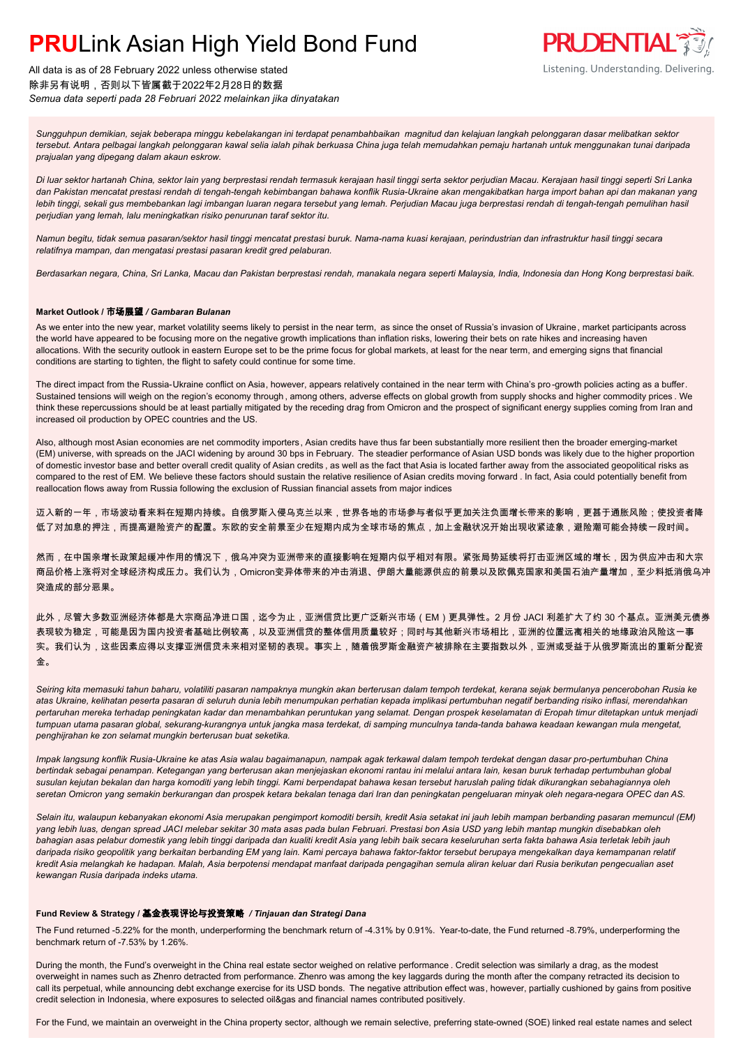

All data is as of 28 February 2022 unless otherwise stated 除非另有说明,否则以下皆属截于2022年2月28日的数据 *Semua data seperti pada 28 Februari 2022 melainkan jika dinyatakan*

*Sungguhpun demikian, sejak beberapa minggu kebelakangan ini terdapat penambahbaikan magnitud dan kelajuan langkah pelonggaran dasar melibatkan sektor tersebut. Antara pelbagai langkah pelonggaran kawal selia ialah pihak berkuasa China juga telah memudahkan pemaju hartanah untuk menggunakan tunai daripada prajualan yang dipegang dalam akaun eskrow.*

*Di luar sektor hartanah China, sektor lain yang berprestasi rendah termasuk kerajaan hasil tinggi serta sektor perjudian Macau. Kerajaan hasil tinggi seperti Sri Lanka dan Pakistan mencatat prestasi rendah di tengah-tengah kebimbangan bahawa konflik Rusia-Ukraine akan mengakibatkan harga import bahan api dan makanan yang lebih tinggi, sekali gus membebankan lagi imbangan luaran negara tersebut yang lemah. Perjudian Macau juga berprestasi rendah di tengah-tengah pemulihan hasil perjudian yang lemah, lalu meningkatkan risiko penurunan taraf sektor itu.*

*Namun begitu, tidak semua pasaran/sektor hasil tinggi mencatat prestasi buruk. Nama-nama kuasi kerajaan, perindustrian dan infrastruktur hasil tinggi secara relatifnya mampan, dan mengatasi prestasi pasaran kredit gred pelaburan.*

*Berdasarkan negara, China, Sri Lanka, Macau dan Pakistan berprestasi rendah, manakala negara seperti Malaysia, India, Indonesia dan Hong Kong berprestasi baik.*

#### **Market Outlook /** 市场展望 */ Gambaran Bulanan*

As we enter into the new year, market volatility seems likely to persist in the near term, as since the onset of Russia's invasion of Ukraine, market participants across the world have appeared to be focusing more on the negative growth implications than inflation risks, lowering their bets on rate hikes and increasing haven allocations. With the security outlook in eastern Europe set to be the prime focus for global markets, at least for the near term, and emerging signs that financial conditions are starting to tighten, the flight to safety could continue for some time.

The direct impact from the Russia-Ukraine conflict on Asia, however, appears relatively contained in the near term with China's pro -growth policies acting as a buffer. Sustained tensions will weigh on the region's economy through , among others, adverse effects on global growth from supply shocks and higher commodity prices . We think these repercussions should be at least partially mitigated by the receding drag from Omicron and the prospect of significant energy supplies coming from Iran and increased oil production by OPEC countries and the US.

Also, although most Asian economies are net commodity importers , Asian credits have thus far been substantially more resilient then the broader emerging-market (EM) universe, with spreads on the JACI widening by around 30 bps in February. The steadier performance of Asian USD bonds was likely due to the higher proportion of domestic investor base and better overall credit quality of Asian credits , as well as the fact that Asia is located farther away from the associated geopolitical risks as compared to the rest of EM. We believe these factors should sustain the relative resilience of Asian credits moving forward . In fact, Asia could potentially benefit from reallocation flows away from Russia following the exclusion of Russian financial assets from major indices

迈入新的一年,市场波动看来料在短期内持续。自俄罗斯入侵乌克兰以来,世界各地的市场参与者似乎更加关注负面增长带来的影响,更甚于通胀风险;使投资者降 低了对加息的押注,而提高避险资产的配置。东欧的安全前景至少在短期内成为全球市场的焦点,加上金融状况开始出现收紧迹象,避险潮可能会持续一段时间。

然而,在中国亲增长政策起缓冲作用的情况下,俄乌冲突为亚洲带来的直接影响在短期内似乎相对有限。紧张局势延续将打击亚洲区域的增长,因为供应冲击和大宗 商品价格上涨将对全球经济构成压力。我们认为,Omicron变异体带来的冲击消退、伊朗大量能源供应的前景以及欧佩克国家和美国石油产量增加,至少料抵消俄乌冲 突造成的部分恶果。

此外,尽管大多数亚洲经济体都是大宗商品净进口国,迄今为止,亚洲信贷比更广泛新兴市场(EM)更具弹性。2 月份 JACI 利差扩大了约 30 个基点。亚洲美元债券 表现较为稳定,可能是因为国内投资者基础比例较高,以及亚洲信贷的整体信用质量较好;同时与其他新兴市场相比,亚洲的位置远离相关的地缘政治风险这一事 实。我们认为,这些因素应得以支撑亚洲信贷未来相对坚韧的表现。事实上,随着俄罗斯金融资产被排除在主要指数以外,亚洲或受益于从俄罗斯流出的重新分配资 金。

*Seiring kita memasuki tahun baharu, volatiliti pasaran nampaknya mungkin akan berterusan dalam tempoh terdekat, kerana sejak bermulanya pencerobohan Rusia ke atas Ukraine, kelihatan peserta pasaran di seluruh dunia lebih menumpukan perhatian kepada implikasi pertumbuhan negatif berbanding risiko inflasi, merendahkan pertaruhan mereka terhadap peningkatan kadar dan menambahkan peruntukan yang selamat. Dengan prospek keselamatan di Eropah timur ditetapkan untuk menjadi tumpuan utama pasaran global, sekurang-kurangnya untuk jangka masa terdekat, di samping munculnya tanda-tanda bahawa keadaan kewangan mula mengetat, penghijrahan ke zon selamat mungkin berterusan buat seketika.*

*Impak langsung konflik Rusia-Ukraine ke atas Asia walau bagaimanapun, nampak agak terkawal dalam tempoh terdekat dengan dasar pro-pertumbuhan China bertindak sebagai penampan. Ketegangan yang berterusan akan menjejaskan ekonomi rantau ini melalui antara lain, kesan buruk terhadap pertumbuhan global susulan kejutan bekalan dan harga komoditi yang lebih tinggi. Kami berpendapat bahawa kesan tersebut haruslah paling tidak dikurangkan sebahagiannya oleh seretan Omicron yang semakin berkurangan dan prospek ketara bekalan tenaga dari Iran dan peningkatan pengeluaran minyak oleh negara-negara OPEC dan AS.*

*Selain itu, walaupun kebanyakan ekonomi Asia merupakan pengimport komoditi bersih, kredit Asia setakat ini jauh lebih mampan berbanding pasaran memuncul (EM) yang lebih luas, dengan spread JACI melebar sekitar 30 mata asas pada bulan Februari. Prestasi bon Asia USD yang lebih mantap mungkin disebabkan oleh bahagian asas pelabur domestik yang lebih tinggi daripada dan kualiti kredit Asia yang lebih baik secara keseluruhan serta fakta bahawa Asia terletak lebih jauh daripada risiko geopolitik yang berkaitan berbanding EM yang lain. Kami percaya bahawa faktor-faktor tersebut berupaya mengekalkan daya kemampanan relatif kredit Asia melangkah ke hadapan. Malah, Asia berpotensi mendapat manfaat daripada pengagihan semula aliran keluar dari Rusia berikutan pengecualian aset kewangan Rusia daripada indeks utama.*

#### **Fund Review & Strategy /** 基金表现评论与投资策略 */ Tinjauan dan Strategi Dana*

The Fund returned -5.22% for the month, underperforming the benchmark return of -4.31% by 0.91%. Year-to-date, the Fund returned -8.79%, underperforming the benchmark return of -7.53% by 1.26%.

During the month, the Fund's overweight in the China real estate sector weighed on relative performance . Credit selection was similarly a drag, as the modest overweight in names such as Zhenro detracted from performance. Zhenro was among the key laggards during the month after the company retracted its decision to call its perpetual, while announcing debt exchange exercise for its USD bonds. The negative attribution effect was, however, partially cushioned by gains from positive credit selection in Indonesia, where exposures to selected oil&gas and financial names contributed positively.

For the Fund, we maintain an overweight in the China property sector, although we remain selective, preferring state-owned (SOE) linked real estate names and select